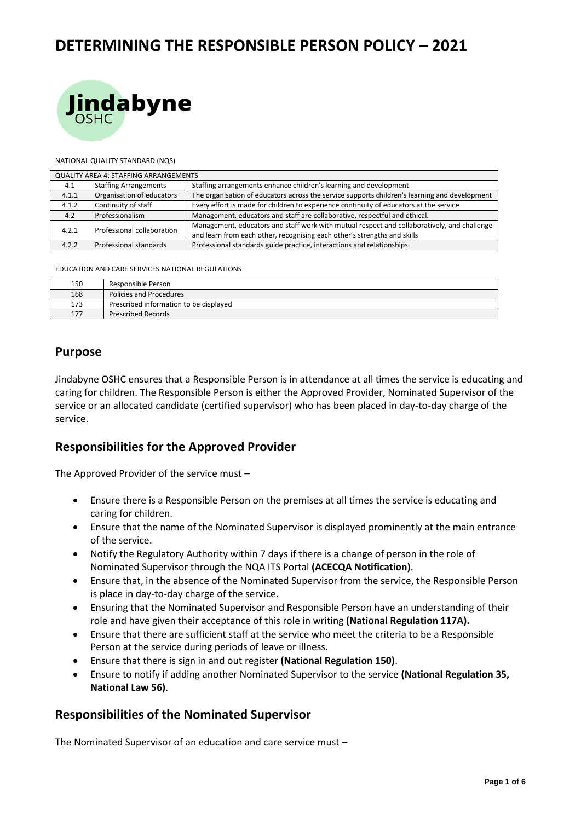# **DETERMINING THE RESPONSIBLE PERSON POLICY – 2021**



#### NATIONAL QUALITY STANDARD (NQS)

| QUALITY AREA 4: STAFFING ARRANGEMENTS |                              |                                                                                                                                                                         |  |  |
|---------------------------------------|------------------------------|-------------------------------------------------------------------------------------------------------------------------------------------------------------------------|--|--|
| 4.1                                   | <b>Staffing Arrangements</b> | Staffing arrangements enhance children's learning and development                                                                                                       |  |  |
| 4.1.1                                 | Organisation of educators    | The organisation of educators across the service supports children's learning and development                                                                           |  |  |
| 4.1.2                                 | Continuity of staff          | Every effort is made for children to experience continuity of educators at the service                                                                                  |  |  |
| 4.2                                   | Professionalism              | Management, educators and staff are collaborative, respectful and ethical.                                                                                              |  |  |
| 4.2.1                                 | Professional collaboration   | Management, educators and staff work with mutual respect and collaboratively, and challenge<br>and learn from each other, recognising each other's strengths and skills |  |  |
| 4.2.2                                 | Professional standards       | Professional standards guide practice, interactions and relationships.                                                                                                  |  |  |

EDUCATION AND CARE SERVICES NATIONAL REGULATIONS

| 150 | Responsible Person                     |
|-----|----------------------------------------|
| 168 | Policies and Procedures                |
| 173 | Prescribed information to be displayed |
| 177 | <b>Prescribed Records</b>              |

#### **Purpose**

Jindabyne OSHC ensures that a Responsible Person is in attendance at all times the service is educating and caring for children. The Responsible Person is either the Approved Provider, Nominated Supervisor of the service or an allocated candidate (certified supervisor) who has been placed in day-to-day charge of the service.

### **Responsibilities for the Approved Provider**

The Approved Provider of the service must –

- Ensure there is a Responsible Person on the premises at all times the service is educating and caring for children.
- Ensure that the name of the Nominated Supervisor is displayed prominently at the main entrance of the service.
- Notify the Regulatory Authority within 7 days if there is a change of person in the role of Nominated Supervisor through the NQA ITS Portal **(ACECQA Notification)**.
- Ensure that, in the absence of the Nominated Supervisor from the service, the Responsible Person is place in day-to-day charge of the service.
- Ensuring that the Nominated Supervisor and Responsible Person have an understanding of their role and have given their acceptance of this role in writing **(National Regulation 117A).**
- Ensure that there are sufficient staff at the service who meet the criteria to be a Responsible Person at the service during periods of leave or illness.
- Ensure that there is sign in and out register **(National Regulation 150)**.
- Ensure to notify if adding another Nominated Supervisor to the service **(National Regulation 35, National Law 56)**.

#### **Responsibilities of the Nominated Supervisor**

The Nominated Supervisor of an education and care service must –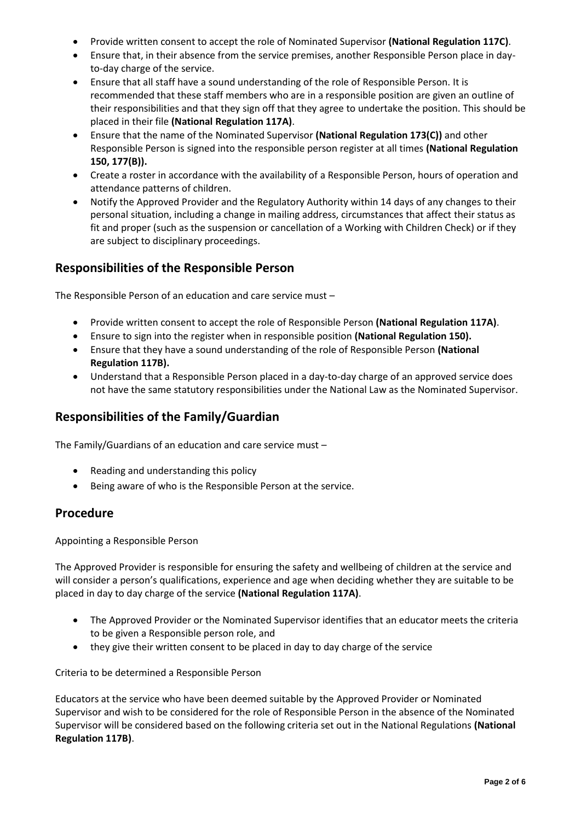- Provide written consent to accept the role of Nominated Supervisor **(National Regulation 117C)**.
- Ensure that, in their absence from the service premises, another Responsible Person place in dayto-day charge of the service.
- Ensure that all staff have a sound understanding of the role of Responsible Person. It is recommended that these staff members who are in a responsible position are given an outline of their responsibilities and that they sign off that they agree to undertake the position. This should be placed in their file **(National Regulation 117A)**.
- Ensure that the name of the Nominated Supervisor **(National Regulation 173(C))** and other Responsible Person is signed into the responsible person register at all times **(National Regulation 150, 177(B)).**
- Create a roster in accordance with the availability of a Responsible Person, hours of operation and attendance patterns of children.
- Notify the Approved Provider and the Regulatory Authority within 14 days of any changes to their personal situation, including a change in mailing address, circumstances that affect their status as fit and proper (such as the suspension or cancellation of a Working with Children Check) or if they are subject to disciplinary proceedings.

### **Responsibilities of the Responsible Person**

The Responsible Person of an education and care service must –

- Provide written consent to accept the role of Responsible Person **(National Regulation 117A)**.
- Ensure to sign into the register when in responsible position **(National Regulation 150).**
- Ensure that they have a sound understanding of the role of Responsible Person **(National Regulation 117B).**
- Understand that a Responsible Person placed in a day-to-day charge of an approved service does not have the same statutory responsibilities under the National Law as the Nominated Supervisor.

### **Responsibilities of the Family/Guardian**

The Family/Guardians of an education and care service must –

- Reading and understanding this policy
- Being aware of who is the Responsible Person at the service.

### **Procedure**

Appointing a Responsible Person

The Approved Provider is responsible for ensuring the safety and wellbeing of children at the service and will consider a person's qualifications, experience and age when deciding whether they are suitable to be placed in day to day charge of the service **(National Regulation 117A)**.

- The Approved Provider or the Nominated Supervisor identifies that an educator meets the criteria to be given a Responsible person role, and
- they give their written consent to be placed in day to day charge of the service

Criteria to be determined a Responsible Person

Educators at the service who have been deemed suitable by the Approved Provider or Nominated Supervisor and wish to be considered for the role of Responsible Person in the absence of the Nominated Supervisor will be considered based on the following criteria set out in the National Regulations **(National Regulation 117B)**.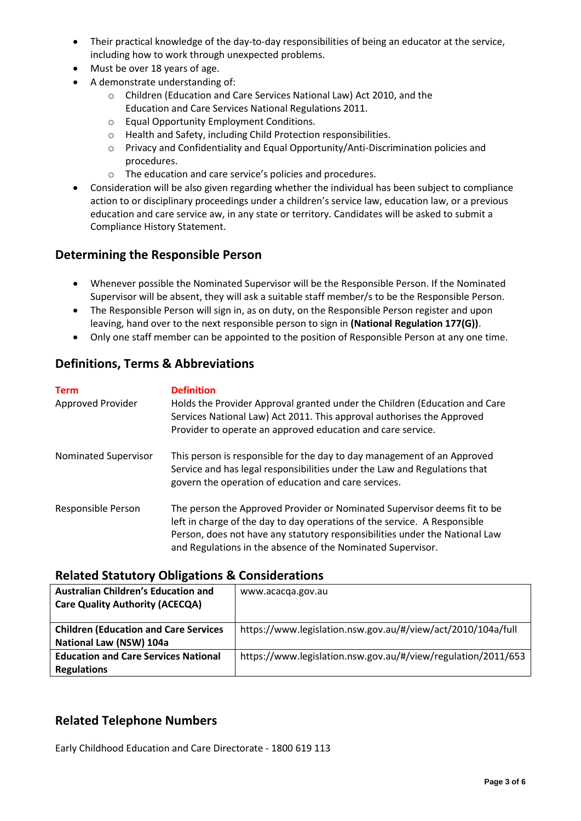- Their practical knowledge of the day-to-day responsibilities of being an educator at the service, including how to work through unexpected problems.
- Must be over 18 years of age.
- A demonstrate understanding of:
	- o Children (Education and Care Services National Law) Act 2010, and the Education and Care Services National Regulations 2011.
	- o Equal Opportunity Employment Conditions.
	- o Health and Safety, including Child Protection responsibilities.
	- o Privacy and Confidentiality and Equal Opportunity/Anti-Discrimination policies and procedures.
	- o The education and care service's policies and procedures.
- Consideration will be also given regarding whether the individual has been subject to compliance action to or disciplinary proceedings under a children's service law, education law, or a previous education and care service aw, in any state or territory. Candidates will be asked to submit a Compliance History Statement.

### **Determining the Responsible Person**

- Whenever possible the Nominated Supervisor will be the Responsible Person. If the Nominated Supervisor will be absent, they will ask a suitable staff member/s to be the Responsible Person.
- The Responsible Person will sign in, as on duty, on the Responsible Person register and upon leaving, hand over to the next responsible person to sign in **(National Regulation 177(G))**.
- Only one staff member can be appointed to the position of Responsible Person at any one time.

### **Definitions, Terms & Abbreviations**

| <b>Term</b><br>Approved Provider | <b>Definition</b><br>Holds the Provider Approval granted under the Children (Education and Care<br>Services National Law) Act 2011. This approval authorises the Approved<br>Provider to operate an approved education and care service.                                                            |
|----------------------------------|-----------------------------------------------------------------------------------------------------------------------------------------------------------------------------------------------------------------------------------------------------------------------------------------------------|
| Nominated Supervisor             | This person is responsible for the day to day management of an Approved<br>Service and has legal responsibilities under the Law and Regulations that<br>govern the operation of education and care services.                                                                                        |
| Responsible Person               | The person the Approved Provider or Nominated Supervisor deems fit to be<br>left in charge of the day to day operations of the service. A Responsible<br>Person, does not have any statutory responsibilities under the National Law<br>and Regulations in the absence of the Nominated Supervisor. |

### **Related Statutory Obligations & Considerations**

| <b>Australian Children's Education and</b><br><b>Care Quality Authority (ACECQA)</b> | www.acacqa.gov.au                                             |
|--------------------------------------------------------------------------------------|---------------------------------------------------------------|
| <b>Children (Education and Care Services</b><br>National Law (NSW) 104a              | https://www.legislation.nsw.gov.au/#/view/act/2010/104a/full  |
| <b>Education and Care Services National</b><br><b>Regulations</b>                    | https://www.legislation.nsw.gov.au/#/view/regulation/2011/653 |

### **Related Telephone Numbers**

Early Childhood Education and Care Directorate - 1800 619 113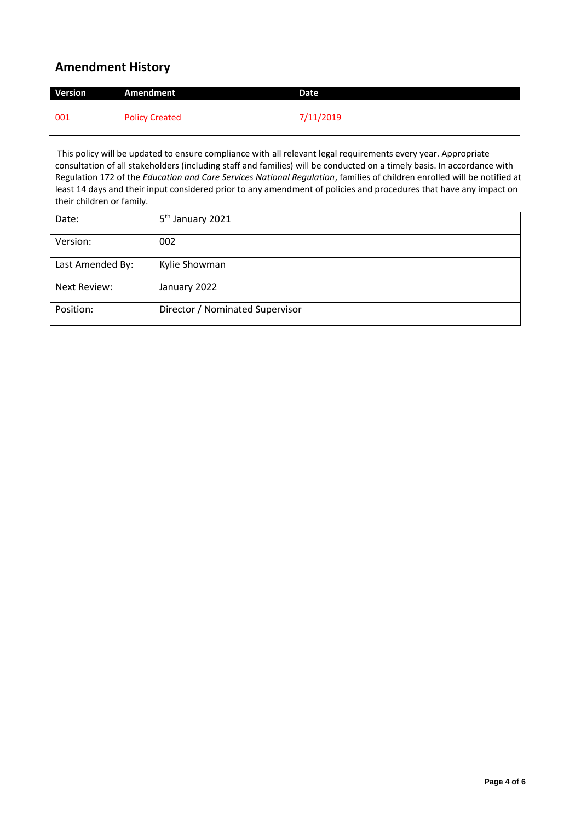## **Amendment History**

| Version | Amendment             | Date      |
|---------|-----------------------|-----------|
| 001     | <b>Policy Created</b> | 7/11/2019 |

This policy will be updated to ensure compliance with all relevant legal requirements every year. Appropriate consultation of all stakeholders (including staff and families) will be conducted on a timely basis. In accordance with Regulation 172 of the *Education and Care Services National Regulation*, families of children enrolled will be notified at least 14 days and their input considered prior to any amendment of policies and procedures that have any impact on their children or family.

| Date:            | 5 <sup>th</sup> January 2021    |
|------------------|---------------------------------|
| Version:         | 002                             |
| Last Amended By: | Kylie Showman                   |
| Next Review:     | January 2022                    |
| Position:        | Director / Nominated Supervisor |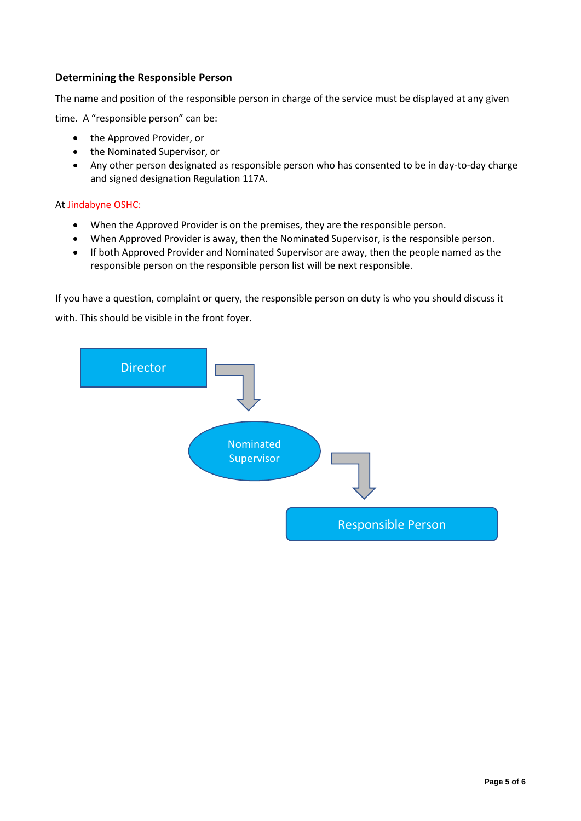#### **Determining the Responsible Person**

The name and position of the responsible person in charge of the service must be displayed at any given

time. A "responsible person" can be:

- the Approved Provider, or
- the Nominated Supervisor, or
- Any other person designated as responsible person who has consented to be in day-to-day charge and signed designation Regulation 117A.

#### At Jindabyne OSHC:

- When the Approved Provider is on the premises, they are the responsible person.
- When Approved Provider is away, then the Nominated Supervisor, is the responsible person.
- If both Approved Provider and Nominated Supervisor are away, then the people named as the responsible person on the responsible person list will be next responsible.

If you have a question, complaint or query, the responsible person on duty is who you should discuss it

with. This should be visible in the front foyer.